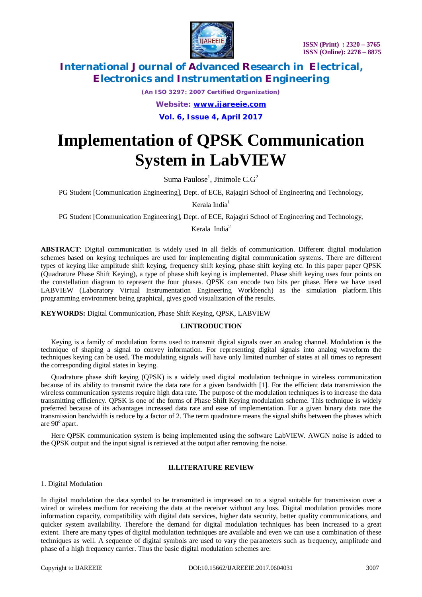

*(An ISO 3297: 2007 Certified Organization)*

*Website: [www.ijareeie.com](http://www.ijareeie.com)*

**Vol. 6, Issue 4, April 2017**

# **Implementation of QPSK Communication System in LabVIEW**

Suma Paulose<sup>1</sup>, Jinimole  $C.G^2$ 

PG Student [Communication Engineering], Dept. of ECE, Rajagiri School of Engineering and Technology,

Kerala India<sup>1</sup>

PG Student [Communication Engineering], Dept. of ECE, Rajagiri School of Engineering and Technology,

Kerala India<sup>2</sup>

**ABSTRACT**: Digital communication is widely used in all fields of communication. Different digital modulation schemes based on keying techniques are used for implementing digital communication systems. There are different types of keying like amplitude shift keying, frequency shift keying, phase shift keying etc. In this paper paper QPSK (Quadrature Phase Shift Keying), a type of phase shift keying is implemented. Phase shift keying uses four points on the constellation diagram to represent the four phases. QPSK can encode two bits per phase. Here we have used LABVIEW (Laboratory Virtual Instrumentation Engineering Workbench) as the simulation platform.This programming environment being graphical, gives good visualization of the results.

**KEYWORDS:** Digital Communication, Phase Shift Keying, QPSK, LABVIEW

#### **I.INTRODUCTION**

Keying is a family of modulation forms used to transmit digital signals over an analog channel. Modulation is the technique of shaping a signal to convey information. For representing digital signals into analog waveform the techniques keying can be used. The modulating signals will have only limited number of states at all times to represent the corresponding digital states in keying.

Quadrature phase shift keying (QPSK) is a widely used digital modulation technique in wireless communication because of its ability to transmit twice the data rate for a given bandwidth [1]. For the efficient data transmission the wireless communication systems require high data rate. The purpose of the modulation techniques is to increase the data transmitting efficiency. QPSK is one of the forms of Phase Shift Keying modulation scheme. This technique is widely preferred because of its advantages increased data rate and ease of implementation. For a given binary data rate the transmission bandwidth is reduce by a factor of 2. The term quadrature means the signal shifts between the phases which are 90° apart.

Here QPSK communication system is being implemented using the software LabVIEW. AWGN noise is added to the QPSK output and the input signal is retrieved at the output after removing the noise.

#### **II.LITERATURE REVIEW**

1. Digital Modulation

In digital modulation the data symbol to be transmitted is impressed on to a signal suitable for transmission over a wired or wireless medium for receiving the data at the receiver without any loss. Digital modulation provides more information capacity, compatibility with digital data services, higher data security, better quality communications, and quicker system availability. Therefore the demand for digital modulation techniques has been increased to a great extent. There are many types of digital modulation techniques are available and even we can use a combination of these techniques as well. A sequence of digital symbols are used to vary the parameters such as frequency, amplitude and phase of a high frequency carrier. Thus the basic digital modulation schemes are: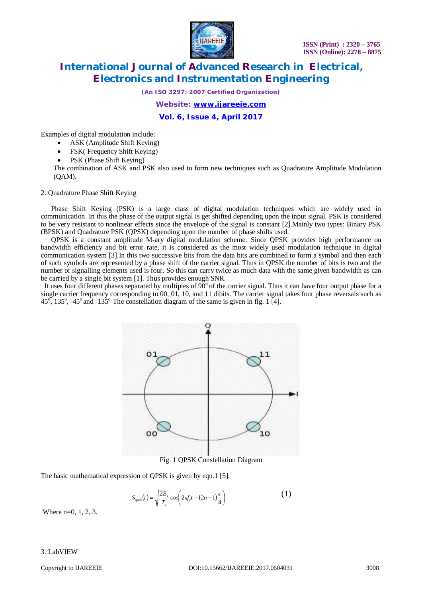

*(An ISO 3297: 2007 Certified Organization)*

*Website: [www.ijareeie.com](http://www.ijareeie.com)*

**Vol. 6, Issue 4, April 2017**

Examples of digital modulation include:

- ASK (Amplitude Shift Keying)
- FSK( Frequency Shift Keying)
- PSK (Phase Shift Keying)

The combination of ASK and PSK also used to form new techniques such as Quadrature Amplitude Modulation (QAM).

2. Quadrature Phase Shift Keying

Phase Shift Keying (PSK) is a large class of digital modulation techniques which are widely used in communication. In this the phase of the output signal is get shifted depending upon the input signal. PSK is considered to be very resistant to nonlinear effects since the envelope of the signal is constant [2].Mainly two types: Binary PSK (BPSK) and Quadrature PSK (QPSK) depending upon the number of phase shifts used.

QPSK is a constant amplitude M-ary digital modulation scheme. Since QPSK provides high performance on bandwidth efficiency and bit error rate, it is considered as the most widely used modulation technique in digital communication system [3].In this two successive bits from the data bits are combined to form a symbol and then each of such symbols are represented by a phase shift of the carrier signal. Thus in QPSK the number of bits is two and the number of signalling elements used is four. So this can carry twice as much data with the same given bandwidth as can be carried by a single bit system [1]. Thus provides enough SNR.

It uses four different phases separated by multiples of  $90^{\circ}$  of the carrier signal. Thus it can have four output phase for a single carrier frequency corresponding to 00, 01, 10, and 11 dibits. The carrier signal takes four phase reversals such as  $45^\circ$ , 135°, -45° and -135°. The constellation diagram of the same is given in fig. 1 [4].



Fig. 1 QPSK Constellation Diagram

The basic mathematical expression of QPSK is given by eqn.1 [5].

$$
S_{qpsk}(t) = \sqrt{\frac{2E_s}{T_s}} \cos \left( 2\pi f_c t + (2n - 1)\frac{\pi}{4} \right)
$$
 (1)

Where n=0, 1, 2, 3.

#### 3. LabVIEW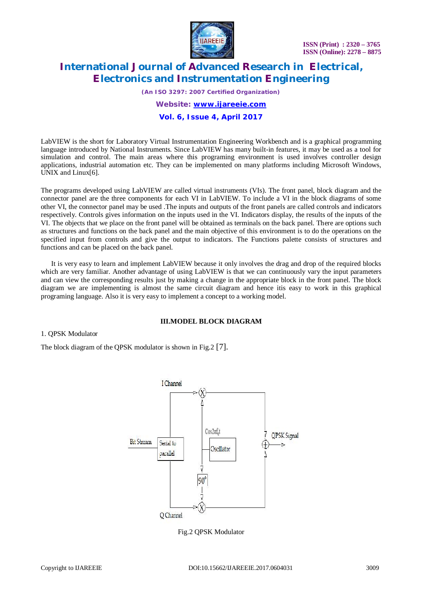

*(An ISO 3297: 2007 Certified Organization) Website: [www.ijareeie.com](http://www.ijareeie.com)*

### **Vol. 6, Issue 4, April 2017**

LabVIEW is the short for Laboratory Virtual Instrumentation Engineering Workbench and is a graphical programming language introduced by National Instruments*.* Since LabVIEW has many built-in features, it may be used as a tool for simulation and control. The main areas where this programing environment is used involves controller design applications, industrial automation etc. They can be implemented on many platforms including Microsoft Windows, UNIX and Linux[6].

The programs developed using LabVIEW are called virtual instruments (VIs). The front panel, block diagram and the connector panel are the three components for each VI in LabVIEW. To include a VI in the block diagrams of some other VI, the connector panel may be used .The inputs and outputs of the front panels are called controls and indicators respectively. Controls gives information on the inputs used in the VI. Indicators display, the results of the inputs of the VI. The objects that we place on the front panel will be obtained as terminals on the back panel. There are options such as structures and functions on the back panel and the main objective of this environment is to do the operations on the specified input from controls and give the output to indicators. The Functions palette consists of structures and functions and can be placed on the back panel.

 It is very easy to learn and implement LabVIEW because it only involves the drag and drop of the required blocks which are very familiar. Another advantage of using LabVIEW is that we can continuously vary the input parameters and can view the corresponding results just by making a change in the appropriate block in the front panel. The block diagram we are implementing is almost the same circuit diagram and hence itis easy to work in this graphical programing language. Also it is very easy to implement a concept to a working model.

#### **III.MODEL BLOCK DIAGRAM**

1. QPSK Modulator

The block diagram of the QPSK modulator is shown in Fig.2 [7].



Fig.2 QPSK Modulator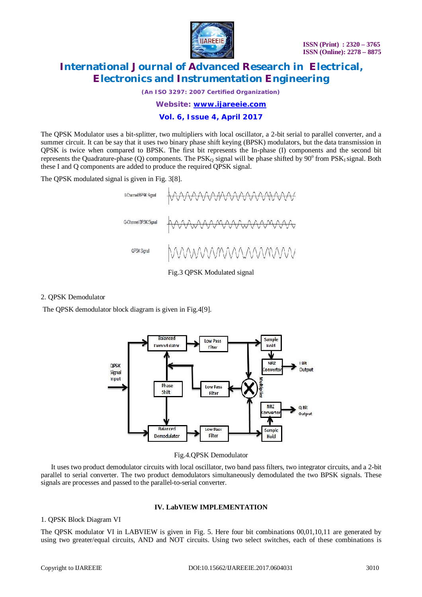

*(An ISO 3297: 2007 Certified Organization)*

*Website: [www.ijareeie.com](http://www.ijareeie.com)*

#### **Vol. 6, Issue 4, April 2017**

The QPSK Modulator uses a bit-splitter, two multipliers with local oscillator, a 2-bit serial to parallel converter, and a summer circuit. It can be say that it uses two binary phase shift keying (BPSK) modulators, but the data transmission in QPSK is twice when compared to BPSK. The first bit represents the In-phase (I) components and the second bit represents the Quadrature-phase (Q) components. The  $PSK<sub>Q</sub>$  signal will be phase shifted by  $90^{\circ}$  from  $PSK<sub>I</sub>$  signal. Both these I and Q components are added to produce the required QPSK signal.

The QPSK modulated signal is given in Fig. 3[8].



Fig.3 QPSK Modulated signal

2. QPSK Demodulator

The QPSK demodulator block diagram is given in Fig.4[9].



Fig.4.QPSK Demodulator

It uses two product demodulator circuits with local oscillator, two band pass filters, two integrator circuits, and a 2-bit parallel to serial converter. The two product demodulators simultaneously demodulated the two BPSK signals. These signals are processes and passed to the parallel-to-serial converter.

#### **IV. LabVIEW IMPLEMENTATION**

#### 1. QPSK Block Diagram VI

The QPSK modulator VI in LABVIEW is given in Fig. 5. Here four bit combinations 00,01,10,11 are generated by using two greater/equal circuits, AND and NOT circuits. Using two select switches, each of these combinations is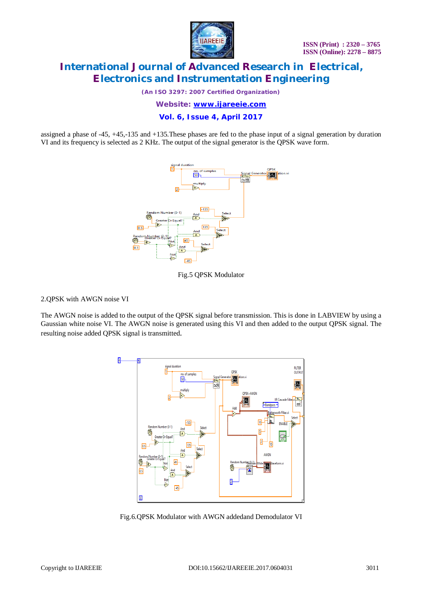

*(An ISO 3297: 2007 Certified Organization)*

*Website: [www.ijareeie.com](http://www.ijareeie.com)*

**Vol. 6, Issue 4, April 2017**

assigned a phase of -45, +45,-135 and +135.These phases are fed to the phase input of a signal generation by duration VI and its frequency is selected as 2 KHz. The output of the signal generator is the QPSK wave form.



Fig.5 QPSK Modulator

2.QPSK with AWGN noise VI

The AWGN noise is added to the output of the QPSK signal before transmission. This is done in LABVIEW by using a Gaussian white noise VI. The AWGN noise is generated using this VI and then added to the output QPSK signal. The resulting noise added QPSK signal is transmitted.



Fig.6.QPSK Modulator with AWGN addedand Demodulator VI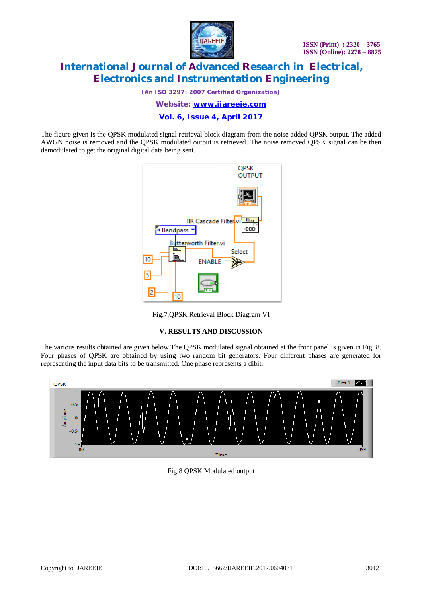

*(An ISO 3297: 2007 Certified Organization)*

*Website: [www.ijareeie.com](http://www.ijareeie.com)*

#### **Vol. 6, Issue 4, April 2017**

The figure given is the QPSK modulated signal retrieval block diagram from the noise added QPSK output. The added AWGN noise is removed and the QPSK modulated output is retrieved. The noise removed QPSK signal can be then demodulated to get the original digital data being sent.



Fig.7.QPSK Retrieval Block Diagram VI

#### **V. RESULTS AND DISCUSSION**

The various results obtained are given below.The QPSK modulated signal obtained at the front panel is given in Fig. 8. Four phases of QPSK are obtained by using two random bit generators. Four different phases are generated for representing the input data bits to be transmitted. One phase represents a dibit.



Fig.8 QPSK Modulated output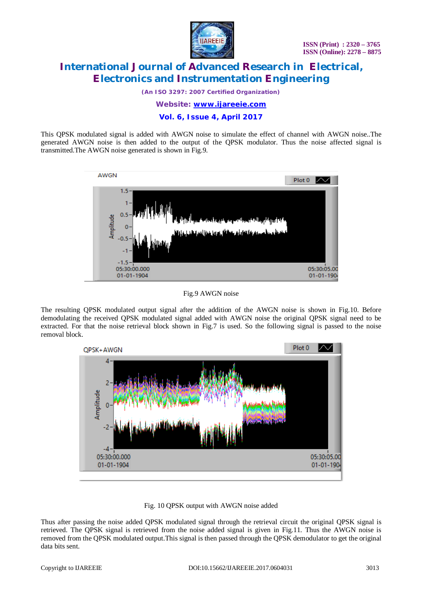

*(An ISO 3297: 2007 Certified Organization)*

*Website: [www.ijareeie.com](http://www.ijareeie.com)*

#### **Vol. 6, Issue 4, April 2017**

This QPSK modulated signal is added with AWGN noise to simulate the effect of channel with AWGN noise..The generated AWGN noise is then added to the output of the QPSK modulator. Thus the noise affected signal is transmitted.The AWGN noise generated is shown in Fig.9.



#### Fig.9 AWGN noise

The resulting QPSK modulated output signal after the addition of the AWGN noise is shown in Fig.10. Before demodulating the received QPSK modulated signal added with AWGN noise the original QPSK signal need to be extracted. For that the noise retrieval block shown in Fig.7 is used. So the following signal is passed to the noise removal block.



#### Fig. 10 QPSK output with AWGN noise added

Thus after passing the noise added QPSK modulated signal through the retrieval circuit the original QPSK signal is retrieved. The QPSK signal is retrieved from the noise added signal is given in Fig.11. Thus the AWGN noise is removed from the QPSK modulated output.This signal is then passed through the QPSK demodulator to get the original data bits sent.